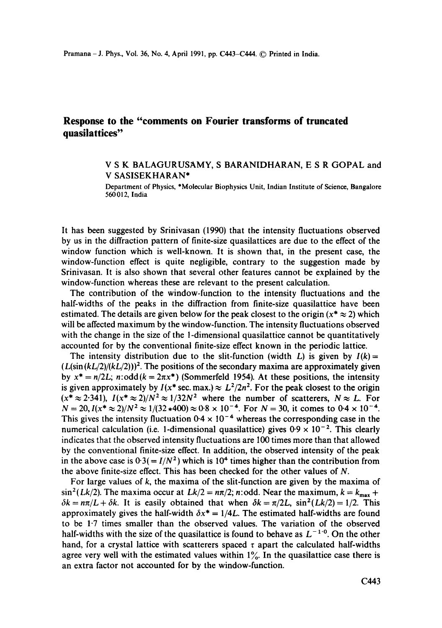## **Response to the "comments on Fourier transforms of truncated quasilattices"**

## V S K BALAGURUSAMY, S BARANIDHARAN, E S R GOPAL and V SASISEKHARAN\*

Department of Physics, \*Molecular Biophysics Unit, Indian Institute of Science, Bangalore 560012, India

It has been suggested by Srinivasan (1990) that the intensity fluctuations observed by us in the diffraction pattern of finite-size quasilattices are due to the effect of the window function which is well-known. It is shown that, in the present case, the window-function effect is quite negligible, contrary to the suggestion made by Srinivasan. It is also shown that several other features cannot be explained by the window-function whereas these are relevant to the present calculation.

The contribution of the window-function to the intensity fluctuations and the half-widths of the peaks in the diffraction from finite-size quasilattice have been estimated. The details are given below for the peak closest to the origin ( $x^* \approx 2$ ) which will be affected maximum by the window-function. The intensity fluctuations observed with the change in the size of the l-dimensional quasilattice cannot be quantitatively accounted for by the conventional finite-size effect known in the periodic lattice.

The intensity distribution due to the slit-function (width L) is given by  $I(k)$  =  $(L(\sin (kL/2)/(kL/2)))^2$ . The positions of the secondary maxima are approximately given by  $x^* = n/2L$ ; *n*:odd( $k = 2\pi x^*$ ) (Sommerfeld 1954). At these positions, the intensity is given approximately by  $I(x^* \sec \cdot \max) \approx L^2/2n^2$ . For the peak closest to the origin  $(x^* \approx 2.341)$ ,  $I(x^* \approx 2)/N^2 \approx 1/32N^2$  where the number of scatterers,  $N \approx L$ . For  $N = 20$ ,  $I(x^* \approx 2)/N^2 \approx 1/(32*400) \approx 0.8 \times 10^{-4}$ . For  $N = 30$ , it comes to  $0.4 \times 10^{-4}$ . This gives the intensity fluctuation  $0.4 \times 10^{-4}$  whereas the corresponding case in the numerical calculation (i.e. 1-dimensional quasilattice) gives  $0.9 \times 10^{-2}$ . This clearly indicates that the observed intensity fluctuations are 100 times more than that allowed by the conventional finite-size effect. In addition, the observed intensity of the peak in the above case is  $0.3(= I/N^2)$  which is 10<sup>4</sup> times higher than the contribution from the above finite-size effect. This has been checked for the other values of N.

For large values of  $k$ , the maxima of the slit-function are given by the maxima of  $\sin^2(Lk/2)$ . The maxima occur at  $Lk/2 = n\pi/2$ ; n:odd. Near the maximum,  $k = k_{\text{max}} + k$  $\delta k = n\pi/L + \delta k$ . It is easily obtained that when  $\delta k = \pi/2L$ ,  $\sin^2(Lk/2) = 1/2$ . This approximately gives the half-width  $\delta x^* = 1/4L$ . The estimated half-widths are found to be 1.7 times smaller than the observed values. The variation of the observed half-widths with the size of the quasilattice is found to behave as  $L^{-1.0}$ . On the other hand, for a crystal lattice with scatterers spaced  $\tau$  apart the calculated half-widths agree very well with the estimated values within  $1\%$ . In the quasilattice case there is an extra factor not accounted for by the window-function.